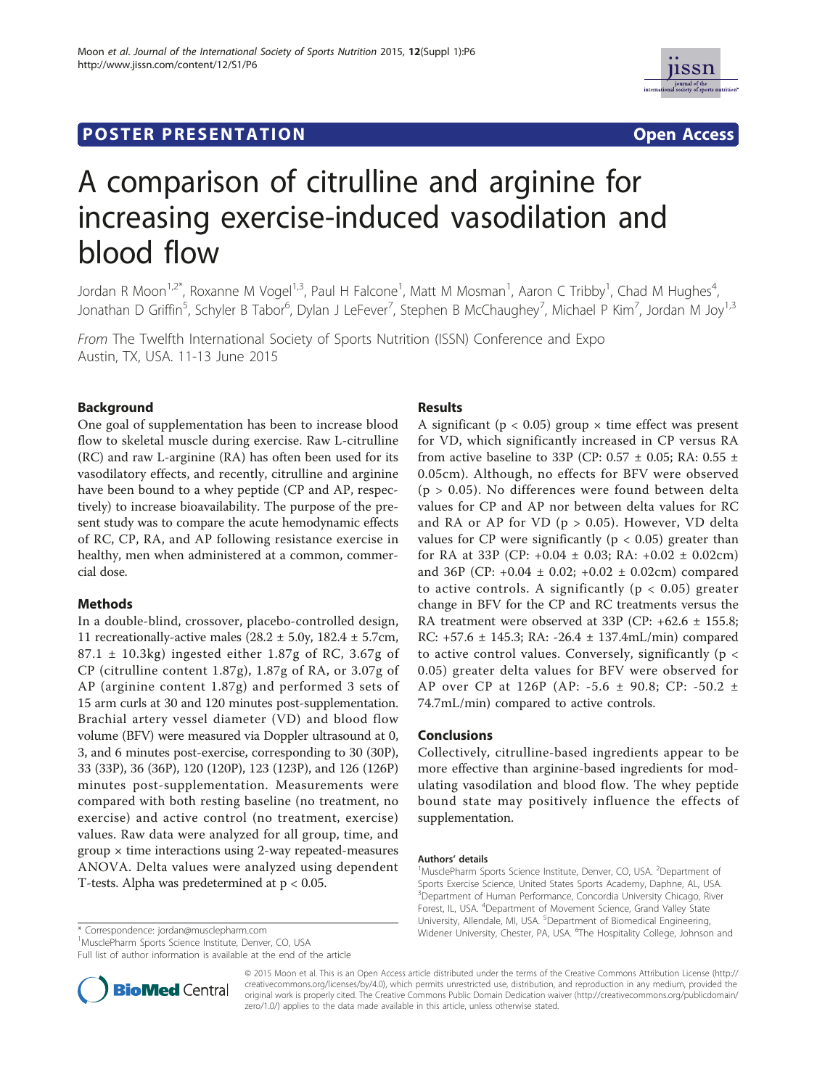# **POSTER PRESENTATION CONSUMING THE SERVICE SERVICE SERVICES**



# A comparison of citrulline and arginine for increasing exercise-induced vasodilation and blood flow

Jordan R Moon<sup>1,2\*</sup>, Roxanne M Vogel<sup>1,3</sup>, Paul H Falcone<sup>1</sup>, Matt M Mosman<sup>1</sup>, Aaron C Tribby<sup>1</sup>, Chad M Hughes<sup>4</sup> , Jonathan D Griffin<sup>5</sup>, Schyler B Tabor<sup>6</sup>, Dylan J LeFever<sup>7</sup>, Stephen B McChaughey<sup>7</sup>, Michael P Kim<sup>7</sup>, Jordan M Joy<sup>1,3</sup>

From The Twelfth International Society of Sports Nutrition (ISSN) Conference and Expo Austin, TX, USA. 11-13 June 2015

# Background

One goal of supplementation has been to increase blood flow to skeletal muscle during exercise. Raw L-citrulline (RC) and raw L-arginine (RA) has often been used for its vasodilatory effects, and recently, citrulline and arginine have been bound to a whey peptide (CP and AP, respectively) to increase bioavailability. The purpose of the present study was to compare the acute hemodynamic effects of RC, CP, RA, and AP following resistance exercise in healthy, men when administered at a common, commercial dose.

## Methods

In a double-blind, crossover, placebo-controlled design, 11 recreationally-active males ( $28.2 \pm 5.0$ y,  $182.4 \pm 5.7$ cm, 87.1 ± 10.3kg) ingested either 1.87g of RC, 3.67g of CP (citrulline content 1.87g), 1.87g of RA, or 3.07g of AP (arginine content 1.87g) and performed 3 sets of 15 arm curls at 30 and 120 minutes post-supplementation. Brachial artery vessel diameter (VD) and blood flow volume (BFV) were measured via Doppler ultrasound at 0, 3, and 6 minutes post-exercise, corresponding to 30 (30P), 33 (33P), 36 (36P), 120 (120P), 123 (123P), and 126 (126P) minutes post-supplementation. Measurements were compared with both resting baseline (no treatment, no exercise) and active control (no treatment, exercise) values. Raw data were analyzed for all group, time, and  $group \times time$  interactions using 2-way repeated-measures ANOVA. Delta values were analyzed using dependent T-tests. Alpha was predetermined at p < 0.05.

<sup>1</sup>MusclePharm Sports Science Institute, Denver, CO, USA

Full list of author information is available at the end of the article

# Results

A significant ( $p < 0.05$ ) group  $\times$  time effect was present for VD, which significantly increased in CP versus RA from active baseline to 33P (CP: 0.57  $\pm$  0.05; RA: 0.55  $\pm$ 0.05cm). Although, no effects for BFV were observed  $(p > 0.05)$ . No differences were found between delta values for CP and AP nor between delta values for RC and RA or AP for VD ( $p > 0.05$ ). However, VD delta values for CP were significantly ( $p < 0.05$ ) greater than for RA at 33P (CP: +0.04 ± 0.03; RA: +0.02 ± 0.02cm) and 36P (CP: +0.04 ± 0.02; +0.02 ± 0.02cm) compared to active controls. A significantly ( $p < 0.05$ ) greater change in BFV for the CP and RC treatments versus the RA treatment were observed at 33P (CP: +62.6 ± 155.8; RC: +57.6 ± 145.3; RA: -26.4 ± 137.4mL/min) compared to active control values. Conversely, significantly (p < 0.05) greater delta values for BFV were observed for AP over CP at 126P (AP: -5.6 ± 90.8; CP: -50.2 ± 74.7mL/min) compared to active controls.

## Conclusions

Collectively, citrulline-based ingredients appear to be more effective than arginine-based ingredients for modulating vasodilation and blood flow. The whey peptide bound state may positively influence the effects of supplementation.

#### Authors' details <sup>1</sup>

MusclePharm Sports Science Institute, Denver, CO, USA. <sup>2</sup>Department of Sports Exercise Science, United States Sports Academy, Daphne, AL, USA. <sup>3</sup> Department of Human Performance, Concordia University Chicago, River Forest, IL, USA. <sup>4</sup>Department of Movement Science, Grand Valley State University, Allendale, MI, USA. <sup>5</sup>Department of Biomedical Engineering \* Correspondence: jordan@musclepharm.com entity content to the twitch widener University, Chester, PA, USA. <sup>6</sup>The Hospitality College, Johnson and \*



© 2015 Moon et al. This is an Open Access article distributed under the terms of the Creative Commons Attribution License (http:// creativecommons.org/licenses/by/4.0), which permits unrestricted use, distribution, and reproduction in any medium, provided the original work is properly cited. The Creative Commons Public Domain Dedication waiver (http://creativecommons.org/publicdomain/ zero/1.0/) applies to the data made available in this article, unless otherwise stated.